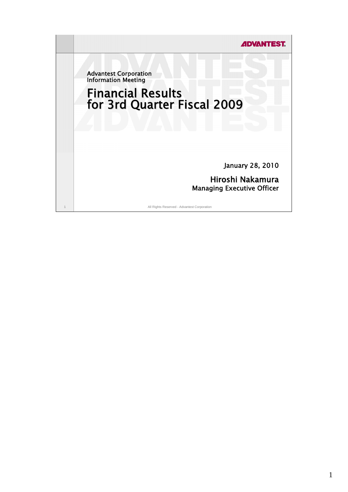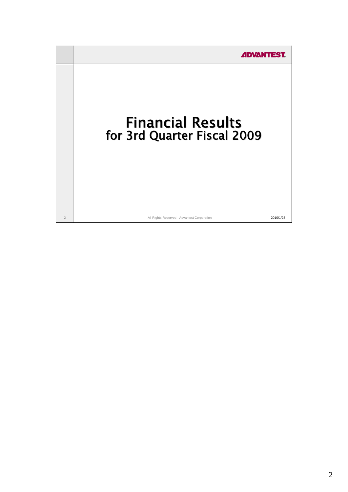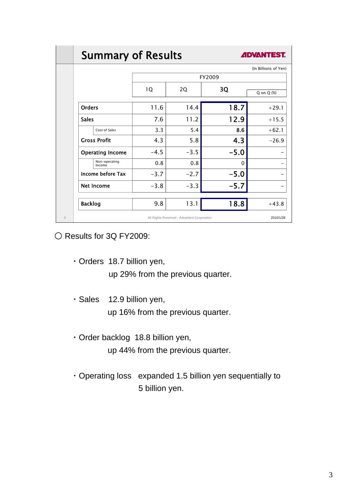# **Summary of Results**



|                         |           |        |        | (In Billions of Yen) |  |  |
|-------------------------|-----------|--------|--------|----------------------|--|--|
|                         | FY2009    |        |        |                      |  |  |
|                         | 1Q        | 2Q     | 3Q     | Q on Q (%)           |  |  |
| <b>Orders</b>           | 11.6      | 14.4   | 18.7   | $+29.1$              |  |  |
| <b>Sales</b>            | 7.6       | 11.2   | 12.9   | $+15.5$              |  |  |
| Cost of Sales           | 3.3       | 5.4    | 8.6    | $+62.1$              |  |  |
| <b>Gross Profit</b>     | 4.3       | 5.8    | 4.3    | $-26.9$              |  |  |
| <b>Operating Income</b> | $-4.5$    | $-3.5$ | $-5.0$ |                      |  |  |
| Non-operating<br>Income | 0.8       | 0.8    | 0      |                      |  |  |
| Income before Tax       | $-3.7$    | $-2.7$ | $-5.0$ |                      |  |  |
| <b>Net Income</b>       | $-3.8$    | $-3.3$ | $-5.7$ |                      |  |  |
| <b>Backlog</b>          | 9.8       | 13.1   | 18.8   | $+43.8$              |  |  |
|                         | 2010/1/28 |        |        |                      |  |  |

O Results for 3Q FY2009:

・Orders 18.7 billion yen,

up 29% from the previous quarter.

・Sales 12.9 billion yen,

up 16% from the previous quarter.

・Order backlog 18.8 billion yen,

up 44% from the previous quarter.

・Operating loss expanded 1.5 billion yen sequentially to 5 billion yen.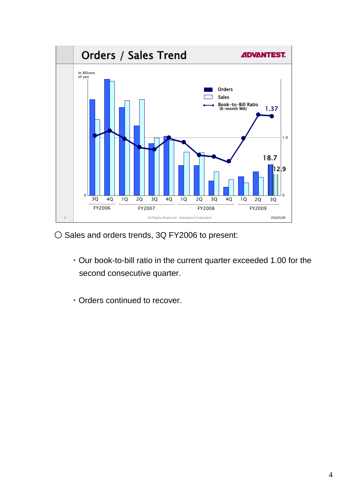

O Sales and orders trends, 3Q FY2006 to present:

- ・Our book-to-bill ratio in the current quarter exceeded 1.00 for the second consecutive quarter.
- ・Orders continued to recover.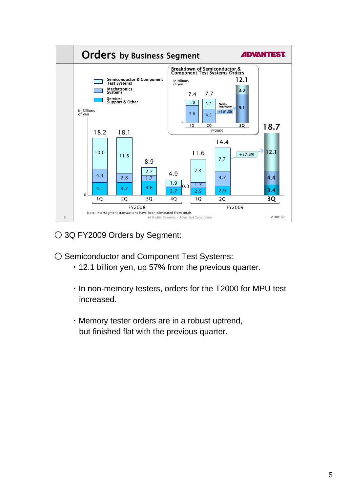

○ 3Q FY2009 Orders by Segment:

- Semiconductor and Component Test Systems:
	- ・12.1 billion yen, up 57% from the previous quarter.
	- ・In non-memory testers, orders for the T2000 for MPU test increased.
	- ・Memory tester orders are in a robust uptrend, but finished flat with the previous quarter.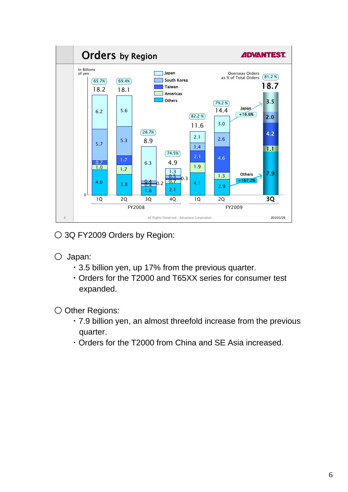

○ 3Q FY2009 Orders by Region:

- Japan:
	- ・3.5 billion yen, up 17% from the previous quarter.
	- ・Orders for the T2000 and T65XX series for consumer test expanded.

○ Other Regions:

- ・7.9 billion yen, an almost threefold increase from the previous quarter.
- ・Orders for the T2000 from China and SE Asia increased.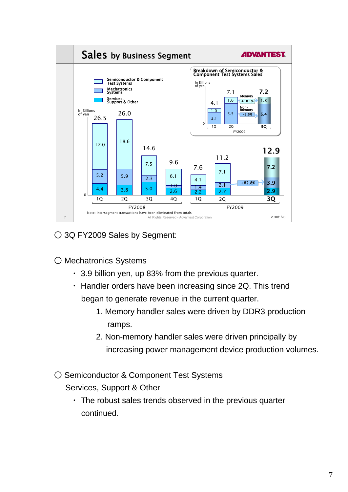

○ 3Q FY2009 Sales by Segment:

○ Mechatronics Systems

- ・ 3.9 billion yen, up 83% from the previous quarter.
- ・ Handler orders have been increasing since 2Q. This trend began to generate revenue in the current quarter.
	- 1. Memory handler sales were driven by DDR3 production ramps.
	- 2. Non-memory handler sales were driven principally by increasing power management device production volumes.
- Semiconductor & Component Test Systems

Services, Support & Other

・ The robust sales trends observed in the previous quarter continued.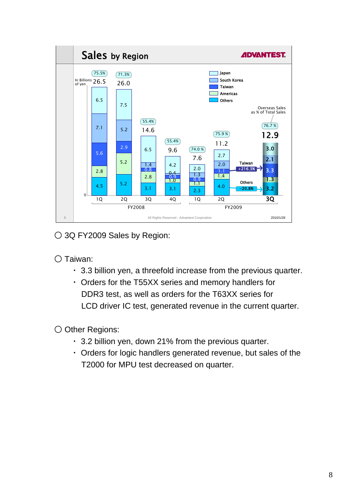

○ 3Q FY2009 Sales by Region:

○ Taiwan:

- ・ 3.3 billion yen, a threefold increase from the previous quarter.
- ・ Orders for the T55XX series and memory handlers for DDR3 test, as well as orders for the T63XX series for LCD driver IC test, generated revenue in the current quarter.

○ Other Regions:

- ・ 3.2 billion yen, down 21% from the previous quarter.
- ・ Orders for logic handlers generated revenue, but sales of the T2000 for MPU test decreased on quarter.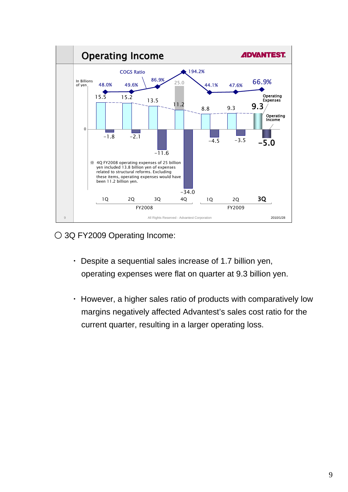

○ 3Q FY2009 Operating Income:

- ・ Despite a sequential sales increase of 1.7 billion yen, operating expenses were flat on quarter at 9.3 billion yen.
- ・ However, a higher sales ratio of products with comparatively low margins negatively affected Advantest's sales cost ratio for the current quarter, resulting in a larger operating loss.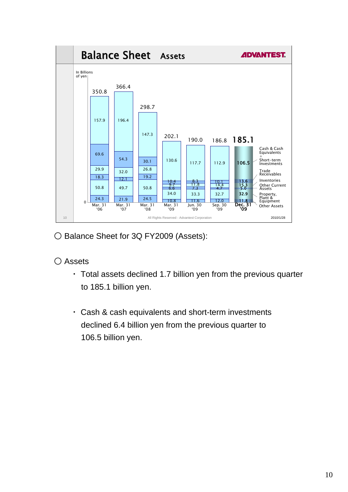

○ Balance Sheet for 3Q FY2009 (Assets):

## ○ Assets

- ・ Total assets declined 1.7 billion yen from the previous quarter to 185.1 billion yen.
- ・ Cash & cash equivalents and short-term investments declined 6.4 billion yen from the previous quarter to 106.5 billion yen.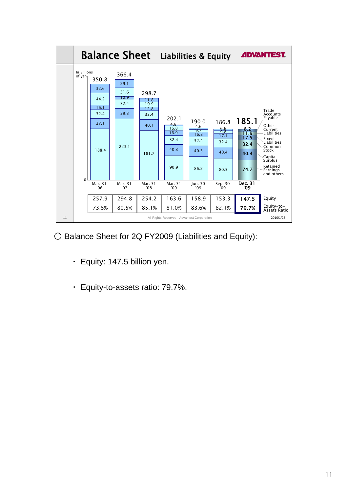

○ Balance Sheet for 2Q FY2009 (Liabilities and Equity):

- ・ Equity: 147.5 billion yen.
- ・ Equity-to-assets ratio: 79.7%.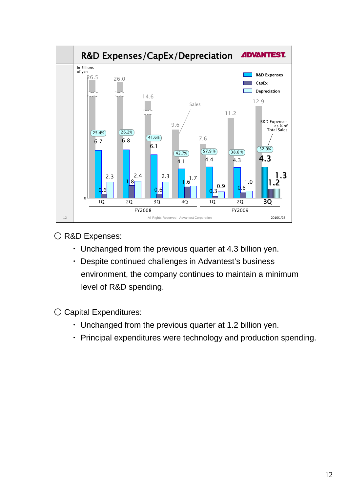

O R&D Expenses:

- ・ Unchanged from the previous quarter at 4.3 billion yen.
- ・ Despite continued challenges in Advantest's business environment, the company continues to maintain a minimum level of R&D spending.

○ Capital Expenditures:

- ・ Unchanged from the previous quarter at 1.2 billion yen.
- ・ Principal expenditures were technology and production spending.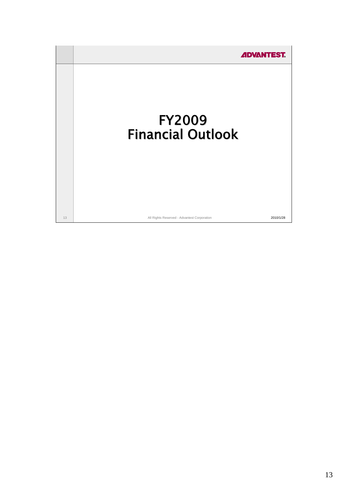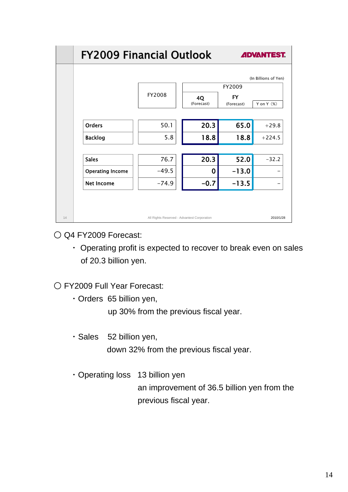|    | <b>FY2009 Financial Outlook</b> | <b>ADVANTEST.</b>                           |                  |                         |                      |
|----|---------------------------------|---------------------------------------------|------------------|-------------------------|----------------------|
|    |                                 |                                             |                  |                         | (In Billions of Yen) |
|    |                                 |                                             | FY2009           |                         |                      |
|    |                                 | FY2008                                      | 4Q<br>(Forecast) | <b>FY</b><br>(Forecast) | Y on Y $(\%)$        |
|    |                                 |                                             |                  |                         |                      |
|    | <b>Orders</b>                   | 50.1                                        | 20.3             | 65.0                    | $+29.8$              |
|    | <b>Backlog</b>                  | 5.8                                         | 18.8             | 18.8                    | $+224.5$             |
|    |                                 |                                             |                  |                         |                      |
|    | <b>Sales</b>                    | 76.7                                        | 20.3             | 52.0                    | $-32.2$              |
|    | <b>Operating Income</b>         | $-49.5$                                     | 0                | $-13.0$                 |                      |
|    | <b>Net Income</b>               | $-74.9$                                     | $-0.7$           | $-13.5$                 |                      |
|    |                                 |                                             |                  |                         |                      |
|    |                                 |                                             |                  |                         |                      |
| 14 |                                 | All Rights Reserved - Advantest Corporation |                  |                         | 2010/1/28            |

○ Q4 FY2009 Forecast:

・ Operating profit is expected to recover to break even on sales of 20.3 billion yen.

○ FY2009 Full Year Forecast:

・Orders 65 billion yen,

up 30% from the previous fiscal year.

- ・Sales 52 billion yen, down 32% from the previous fiscal year.
- ・Operating loss 13 billion yen an improvement of 36.5 billion yen from the previous fiscal year.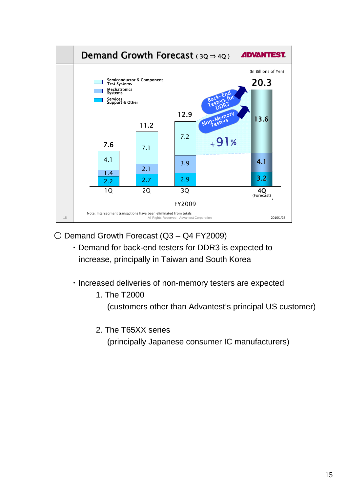

○ Demand Growth Forecast (Q3 – Q4 FY2009)

- ・Demand for back-end testers for DDR3 is expected to increase, principally in Taiwan and South Korea
- ・Increased deliveries of non-memory testers are expected
	- 1. The T2000

(customers other than Advantest's principal US customer)

2. The T65XX series

(principally Japanese consumer IC manufacturers)